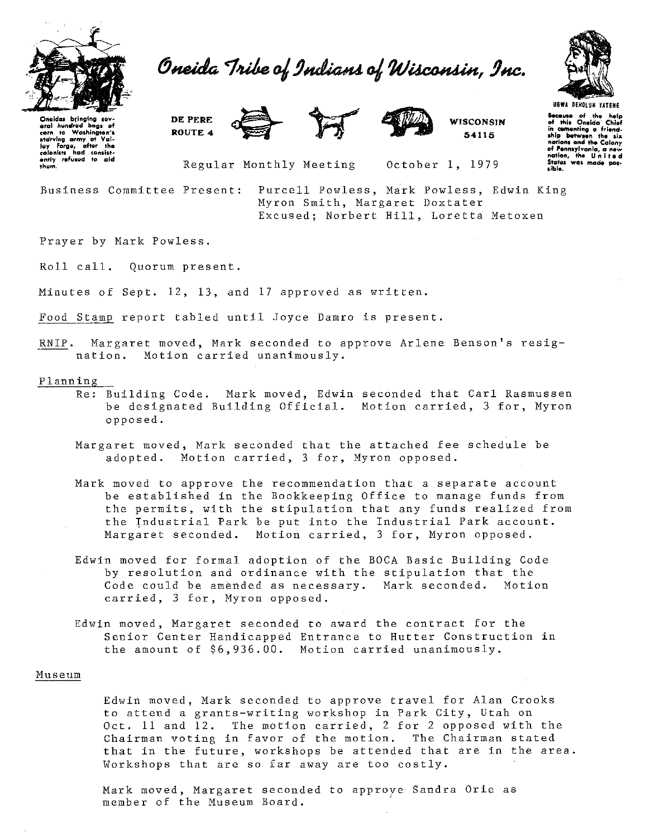

Oneida Tribe of Indians of Wisconsin, Inc.



Oneidas bringing sev **aral hundred bags of<br><b>corn** to Washington's<br>**starving army at Val-**<br>lay Forge, efter the<br>colonists hed consistently refused to aid<br>them.

**DE PERE ROUTE 4** 





**WISCONSIN 54115** 

**U&WA DEHOLUN UTEHE hc.111o of the help of rill• Oneida' Chief**  In comenting a friend-<br>ship between the six nations and the Colony **of Penntylvanio, a new nation, the U n I t e d**  States was mode pos-

Regular Monthly Meeting

October 1, 1979

**Business Committee Present:** Purcell Powless, Mark Powless, Edwin King Myron Smith, Margaret Doxtater Excused; Norbert Hill, Loretta Metoxen

Prayer by Mark Powless.

Roll call. Quorum present.

Minutes of Sept. 12, 13, and 17 approved as written.

Food Stamp report tabled until Joyce Damro is present.

RNIP. Margaret moved, Mark seconded to approve Arlene Benson's resig**nation. Motion carried unanimously.** 

#### Planning

- Re: Building Code. Mark moved, Edwin seconded that Carl Rasmussen be designated Building Official. Motion carried, 3 for, Myron opposed.
- Margaret moved, Mark seconded that the attached fee schedule be adopted. Motion carried, 3 for, Myron opposed.
- **Mark moved to approve the recommendation that a separate account**  be established in the Bookkeeping Office to manage funds from the permits, with the stipulation that any funds realized from the Industrial Park be put into the Industrial Park account. Margaret seconded. Motion carried, 3 for, Myron opposed.
- Edwin moved for formal adoption of the BOCA Basic Building Code by resolution and ordinance with the stipulation that the Code could be amended as necessary. Mark seconded. Motion carried, 3 for, Myron opposed.
- Edwin moved, Margaret seconded to award the contract for the Senior Center Handicapped Entrance to Hutter Construction in the amount of \$6,936.00. Motion carried unanimously.

# **Museum**

Edwin moved, Mark seconded to approve travel for Alan Crooks to attend a grants-writing workshop in Park City, Utah on Oct. 11 and 12. The motion carried, 2 for 2 opposed with the Chairman voting in favor of the motion. The Chairman stated that in the future, workshops be attended that are in the area. Workshops that are so far away are too costly.

Mark moved, Margaret seconded to approye Sandra Orie as member of the Museum Board.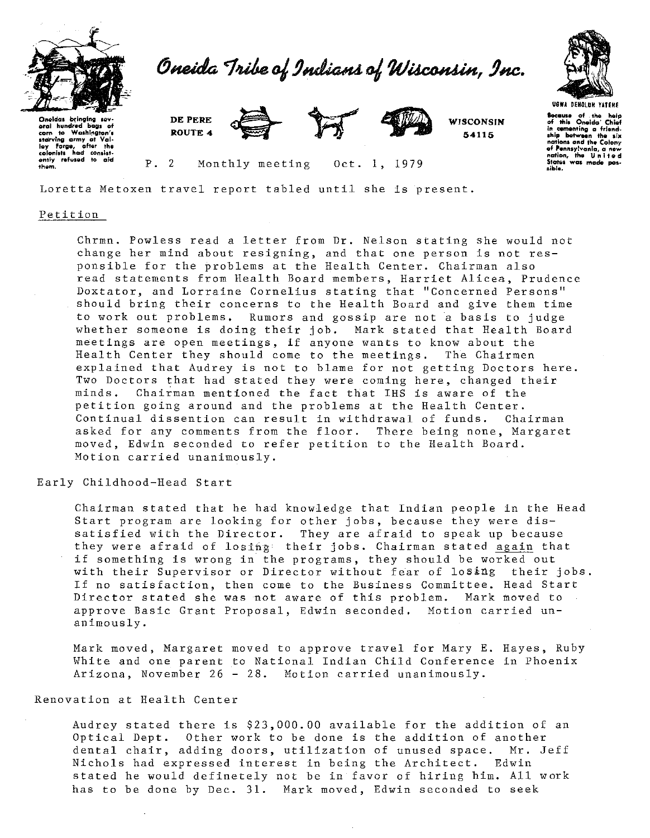

Oneida Tribe of Indians of Wisconsin, Inc.



**locauu of the help of ttl Ia** Ont~ldo **· Chi•f in cvmenting o friend. ahlp between the aiJI natlona olld the Colony of Pennaylvanlo, a new notion, the U n 1 t e <sup>d</sup>** States was made pos-<br>sible.

Oneidas bringing sev<br>eral hundred baas **o oral hundred baga of corn to Woahl!'IQton'• atcllrvlng army ot Vol·** h~y **Forge, ofter the colonlats had conalat· ently refutlld to old th&m.** P. **DEPERE ROUTE 4** 



**WISCONSIN' 54115** 

2 Monthly meeting Oct. 1, 1979

Loretta Metoxen travel report tabled until she is present.

### **Petition**

Chrmn. Powless read a letter from Dr. Nelson stating she would not **change her mind about resigning, and that one person is not res**ponsible for the problems at the Health Center. Chairman also read statements from Health Board members, Harriet Alicea, Prudence **Doxtater, and Lorraine Cornelius stating that "Concerned Persons"**  should bring their concerns to the Health Board and give them time to work out problems. Rumors and gossip are not a basis to judge whether someone is doing their job. Mark stated that Health Board **meetings are open meetings, if anyone wants to know about the**  Health Center they should come to the meetings. The Chairmen explained that Audrey is not to blame for not getting Doctors here. Two Doctors that had stated they were coming here, changed their minds. Chairman mentioned the fact that IHS is aware of the petition going around and the problems at the Health Center. Continual dissention can result in withdrawal of funds. Chairman asked for any comments from the floor. There being none, Margaret moved, Edwin seconded to refer petition to the Health Board. **Motion carried unanimously.** 

## Early Childhood-Head Start

Chairman stated that he had knowledge that Indian people in the Head Start program are looking for other jobs, because they were dissatisfied with the Director. They are afraid to speak up because they were afraid of losing their jobs. Chairman stated again that if something is wrong in the programs, they should be worked out with their Supervisor or Director without fear of losing their jobs. If no satisfaction, then come to the Business Committee. Head Start Director stated she was not aware of this problem. Mark moved to approve Basic Grant Proposal, Edwin seconded. Motion carried unanimously.

Mark moved, Margaret moved to approve travel for Mary E. Hayes, Ruby White and one parent to National Indian Child Conference in Phoenix Arizona, November 26 - 28. Motion carried unanimously.

# Renovation at Health Center

Audrey stated there is \$23,000.00 available for the addition of an Optical Dept. Other work to be done is the addition of another dental chair, adding doors, utilization of unused space. Mr. Jeff Nichols had expressed interest in being the Architect. Edwin stated he would definetely not be in favor of hiring him. All work has to be done by Dec. 31. Mark moved, Edwin seconded to seek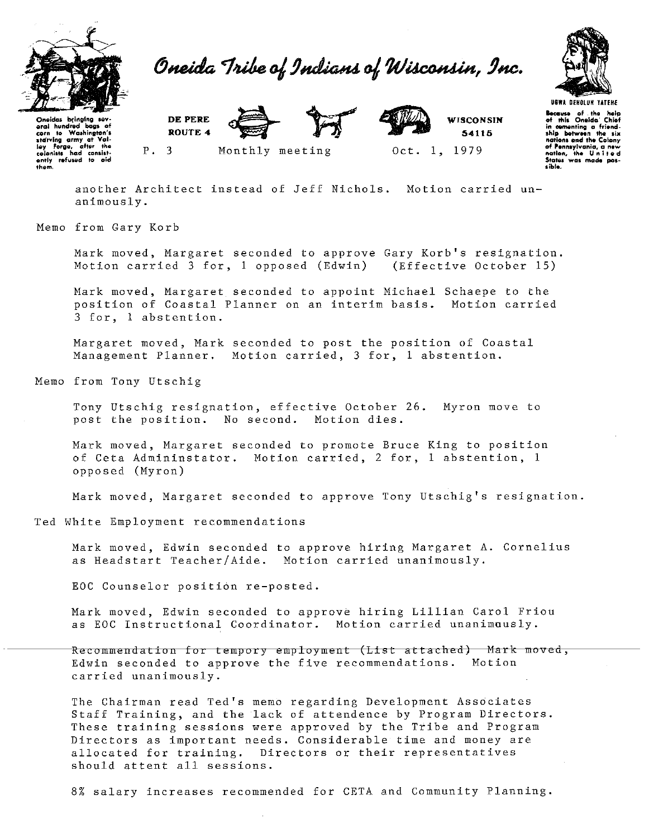

Oneida Tribe of Indians of Wisconsin, Inc.



Oneldos bringing sev-<br>eral hundred bags of<br>corn to Weshington's<br>starving army at Vol-<br>ley Forge, after the<br>colonlats had consist-<br>ently refused to old<br>them.

DE PERE ROUTE 4 Monthly meeting



Oct. 1, 1979 **WISCONSIN** 54116

**Because** of the help<br>of this Oneida<sup>-</sup> Chiof<br>in cementing a friend-<br>ship between the six nations and the Colony<br>of Pennsylvania, a new<br>nation. the United nation, the United<br>States was mode pos-<br>sible.

another Architect instead of Jeff Nichols. Motion carried unanimously.

Memo from Gary Korb

p.

Mark moved, Margaret seconded to approve Gary Korb's resignation. Motion carried 3 for, 1 opposed (Edwin) (Effective October 15)

Mark moved, Margaret seconded to appoint Michael Schaepe to the position of Coastal Planner on an interim basis. Motion carried 3 for, l abstention.

Margaret moved, Mark seconded to post the position of Coastal Management Planner. Motion carried, 3 for, 1 abstention.

Memo from Tony Utschig

Tony Utschig resignation, effective October 26. Myron move to post the position. No second. Motion dies.

Mark moved, Margaret seconded to promote Bruce King to position of Ceta Admininstator. Motion carried, 2 for, 1 abstention, l opposed (Myron)

Mark moved, Margaret seconded to approve Tony Utschig's resignation.

Ted White Employment recommendations

Mark moved, Edwin seconded to approve hiring Margaret A. Cornelius as Headstart Teacher/Aide. Motion carried unanimously.

EOC Counselor position re-posted.

Mark moved, Edwin seconded to approve hiring Lillian Carol Friou as EOC Instructional Coordinator. Motion carried unanimously.

Recommendation for tempory employment (List attached) Mark moved, Edwin seconded to approve the five recommendations. Motion carried unanimously.

The Chairman read Ted's memo regarding Development Associates Staff Training, and the lack of attendence by Program Directors. These training sessions were approved by the Tribe and Program Directors as important needs. Considerable time and money are allocated for training. Directors or their representatives should attent all sessions.

8% salary increases recommended for CETA and Community Planning.